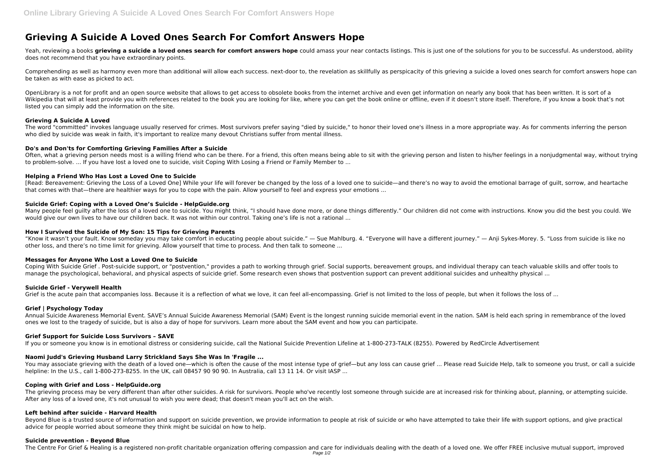# **Grieving A Suicide A Loved Ones Search For Comfort Answers Hope**

Yeah, reviewing a books **grieving a suicide a loved ones search for comfort answers hope** could amass your near contacts listings. This is just one of the solutions for you to be successful. As understood, ability does not recommend that you have extraordinary points.

Comprehending as well as harmony even more than additional will allow each success. next-door to, the revelation as skillfully as perspicacity of this grieving a suicide a loved ones search for comfort answers hope can be taken as with ease as picked to act.

OpenLibrary is a not for profit and an open source website that allows to get access to obsolete books from the internet archive and even get information on nearly any book that has been written. It is sort of a Wikipedia that will at least provide you with references related to the book you are looking for like, where you can get the book online or offline, even if it doesn't store itself. Therefore, if you know a book that's not listed you can simply add the information on the site.

The word "committed" invokes language usually reserved for crimes. Most survivors prefer saying "died by suicide," to honor their loved one's illness in a more appropriate way. As for comments inferring the person who died by suicide was weak in faith, it's important to realize many devout Christians suffer from mental illness.

Often, what a grieving person needs most is a willing friend who can be there. For a friend, this often means being able to sit with the grieving person and listen to his/her feelings in a nonjudgmental way, without trying to problem-solve. ... If you have lost a loved one to suicide, visit Coping With Losing a Friend or Family Member to ...

# **Grieving A Suicide A Loved**

Many people feel quilty after the loss of a loved one to suicide. You might think, "I should have done more, or done things differently." Our children did not come with instructions. Know you did the best you could. We would give our own lives to have our children back. It was not within our control. Taking one's life is not a rational ...

# **Do's and Don'ts for Comforting Grieving Families After a Suicide**

# **Helping a Friend Who Has Lost a Loved One to Suicide**

[Read: Bereavement: Grieving the Loss of a Loved One] While your life will forever be changed by the loss of a loved one to suicide—and there's no way to avoid the emotional barrage of guilt, sorrow, and heartache that comes with that—there are healthier ways for you to cope with the pain. Allow yourself to feel and express your emotions ...

# **Suicide Grief: Coping with a Loved One's Suicide - HelpGuide.org**

You may associate grieving with the death of a loved one—which is often the cause of the most intense type of grief—but any loss can cause grief ... Please read Suicide Help, talk to someone you trust, or call a suicide helpline: In the U.S., call 1-800-273-8255. In the UK, call 08457 90 90 90. In Australia, call 13 11 14. Or visit IASP ...

The grieving process may be very different than after other suicides. A risk for survivors. People who've recently lost someone through suicide are at increased risk for thinking about, planning, or attempting suicide. After any loss of a loved one, it's not unusual to wish you were dead; that doesn't mean you'll act on the wish.

# **How I Survived the Suicide of My Son: 15 Tips for Grieving Parents**

Beyond Blue is a trusted source of information and support on suicide prevention, we provide information to people at risk of suicide or who have attempted to take their life with support options, and give practical advice for people worried about someone they think might be suicidal on how to help.

"Know it wasn't your fault. Know someday you may take comfort in educating people about suicide." — Sue Mahlburg. 4. "Everyone will have a different journey." — Anji Sykes-Morey. 5. "Loss from suicide is like no other loss, and there's no time limit for grieving. Allow yourself that time to process. And then talk to someone ...

#### **Messages for Anyone Who Lost a Loved One to Suicide**

Coping With Suicide Grief . Post-suicide support, or "postvention," provides a path to working through grief. Social supports, bereavement groups, and individual therapy can teach valuable skills and offer tools to manage the psychological, behavioral, and physical aspects of suicide grief. Some research even shows that postvention support can prevent additional suicides and unhealthy physical ...

# **Suicide Grief - Verywell Health**

Grief is the acute pain that accompanies loss. Because it is a reflection of what we love, it can feel all-encompassing. Grief is not limited to the loss of people, but when it follows the loss of ...

# **Grief | Psychology Today**

Annual Suicide Awareness Memorial Event. SAVE's Annual Suicide Awareness Memorial (SAM) Event is the longest running suicide memorial event in the nation. SAM is held each spring in remembrance of the loved ones we lost to the tragedy of suicide, but is also a day of hope for survivors. Learn more about the SAM event and how you can participate.

# **Grief Support for Suicide Loss Survivors – SAVE**

If you or someone you know is in emotional distress or considering suicide, call the National Suicide Prevention Lifeline at 1-800-273-TALK (8255). Powered by RedCircle Advertisement

#### **Naomi Judd's Grieving Husband Larry Strickland Says She Was In 'Fragile ...**

#### **Coping with Grief and Loss - HelpGuide.org**

#### **Left behind after suicide - Harvard Health**

#### **Suicide prevention - Beyond Blue**

The Centre For Grief & Healing is a registered non-profit charitable organization offering compassion and care for individuals dealing with the death of a loved one. We offer FREE inclusive mutual support, improved